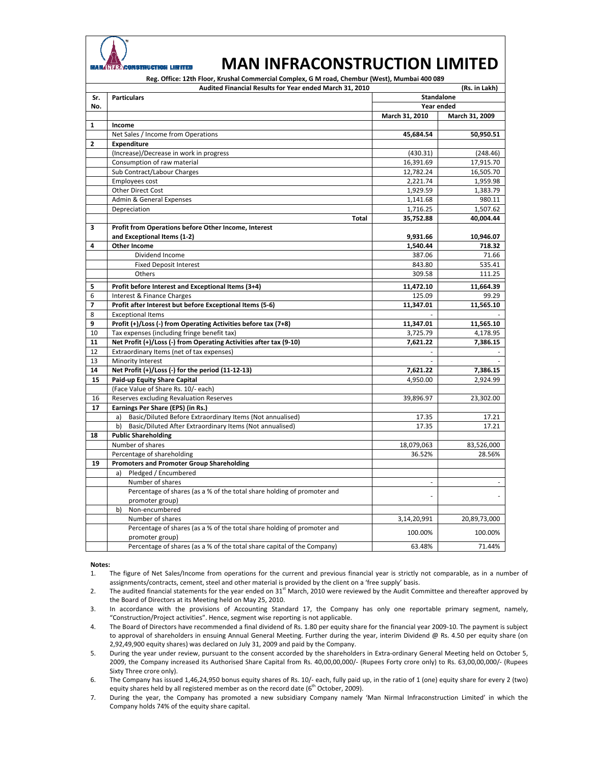

## **MAN INFRACONSTRUCTION LIMITED**

**Reg. Office: 12th Floor, Krushal Commercial Complex, G M road, Chembur (West), Mumbai 400 089**

| Audited Financial Results for Year ended March 31, 2010 |                                                                         | (Rs. in Lakh)     |                |
|---------------------------------------------------------|-------------------------------------------------------------------------|-------------------|----------------|
| Sr.                                                     | <b>Particulars</b>                                                      | <b>Standalone</b> |                |
| No.                                                     |                                                                         |                   | Year ended     |
|                                                         |                                                                         | March 31, 2010    | March 31, 2009 |
| 1                                                       | Income                                                                  |                   |                |
|                                                         | Net Sales / Income from Operations                                      | 45,684.54         | 50,950.51      |
| $\overline{2}$                                          | Expenditure                                                             |                   |                |
|                                                         | (Increase)/Decrease in work in progress                                 | (430.31)          | (248.46)       |
|                                                         | Consumption of raw material                                             | 16,391.69         | 17,915.70      |
|                                                         | Sub Contract/Labour Charges                                             | 12,782.24         | 16,505.70      |
|                                                         | Employees cost                                                          | 2,221.74          | 1,959.98       |
|                                                         | Other Direct Cost                                                       | 1,929.59          | 1,383.79       |
|                                                         | Admin & General Expenses                                                | 1,141.68          | 980.11         |
|                                                         | Depreciation                                                            | 1,716.25          | 1,507.62       |
|                                                         | <b>Total</b>                                                            | 35,752.88         | 40,004.44      |
| 3                                                       | Profit from Operations before Other Income, Interest                    |                   |                |
|                                                         | and Exceptional Items (1-2)                                             | 9,931.66          | 10,946.07      |
| 4                                                       | <b>Other Income</b>                                                     | 1,540.44          | 718.32         |
|                                                         | Dividend Income                                                         | 387.06            | 71.66          |
|                                                         | <b>Fixed Deposit Interest</b>                                           | 843.80            | 535.41         |
|                                                         | Others                                                                  | 309.58            | 111.25         |
| 5                                                       | Profit before Interest and Exceptional Items (3+4)                      | 11,472.10         | 11,664.39      |
| 6                                                       | Interest & Finance Charges                                              | 125.09            | 99.29          |
| 7                                                       | Profit after Interest but before Exceptional Items (5-6)                | 11,347.01         | 11,565.10      |
| 8                                                       | <b>Exceptional Items</b>                                                |                   |                |
| 9                                                       | Profit (+)/Loss (-) from Operating Activities before tax (7+8)          | 11,347.01         | 11,565.10      |
| 10                                                      | Tax expenses (including fringe benefit tax)                             | 3,725.79          | 4,178.95       |
| 11                                                      | Net Profit (+)/Loss (-) from Operating Activities after tax (9-10)      | 7,621.22          | 7,386.15       |
| 12                                                      | Extraordinary Items (net of tax expenses)                               |                   |                |
| 13                                                      | Minority Interest                                                       |                   |                |
| 14                                                      | Net Profit (+)/Loss (-) for the period (11-12-13)                       | 7,621.22          | 7,386.15       |
| 15                                                      | Paid-up Equity Share Capital                                            | 4,950.00          | 2,924.99       |
|                                                         | (Face Value of Share Rs. 10/- each)                                     |                   |                |
| 16                                                      | Reserves excluding Revaluation Reserves                                 | 39,896.97         | 23,302.00      |
| 17                                                      | Earnings Per Share (EPS) (in Rs.)                                       |                   |                |
|                                                         | Basic/Diluted Before Extraordinary Items (Not annualised)<br>a)         | 17.35             | 17.21          |
|                                                         | Basic/Diluted After Extraordinary Items (Not annualised)<br>b)          | 17.35             | 17.21          |
| 18                                                      | <b>Public Shareholding</b>                                              |                   |                |
|                                                         | Number of shares                                                        | 18,079,063        | 83,526,000     |
|                                                         | Percentage of shareholding                                              | 36.52%            | 28.56%         |
| 19                                                      | <b>Promoters and Promoter Group Shareholding</b>                        |                   |                |
|                                                         | Pledged / Encumbered<br>a)                                              |                   |                |
|                                                         | Number of shares                                                        |                   |                |
|                                                         | Percentage of shares (as a % of the total share holding of promoter and |                   |                |
|                                                         | promoter group)                                                         |                   |                |
|                                                         | Non-encumbered<br>b)                                                    |                   |                |
|                                                         | Number of shares                                                        | 3,14,20,991       | 20,89,73,000   |
|                                                         | Percentage of shares (as a % of the total share holding of promoter and | 100.00%           | 100.00%        |
|                                                         | promoter group)                                                         |                   |                |
|                                                         | Percentage of shares (as a % of the total share capital of the Company) | 63.48%            | 71.44%         |

## **Notes:**

1. The figure of Net Sales/Income from operations for the current and previous financial year is strictly not comparable, as in a number of assignments/contracts, cement, steel and other material is provided by the client on a 'free supply' basis.

2. The audited financial statements for the year ended on  $31<sup>st</sup>$  March, 2010 were reviewed by the Audit Committee and thereafter approved by the Board of Directors at its Meeting held on May 25, 2010.

3. In accordance with the provisions of Accounting Standard 17, the Company has only one reportable primary segment, namely, "Construction/Project activities". Hence, segment wise reporting is not applicable.

4. The Board of Directors have recommended a final dividend of Rs. 1.80 per equity share for the financial year 2009‐10. The payment is subject to approval of shareholders in ensuing Annual General Meeting. Further during the year, interim Dividend @ Rs. 4.50 per equity share (on 2,92,49,900 equity shares) was declared on July 31, 2009 and paid by the Company.

5. During the year under review, pursuant to the consent accorded by the shareholders in Extra-ordinary General Meeting held on October 5, 2009, the Company increased its Authorised Share Capital from Rs. 40,00,00,000/‐ (Rupees Forty crore only) to Rs. 63,00,00,000/‐ (Rupees Sixty Three crore only).

6. The Company has issued 1,46,24,950 bonus equity shares of Rs. 10/‐ each, fully paid up, in the ratio of 1 (one) equity share for every 2 (two) equity shares held by all registered member as on the record date  $(6^{th}$  October, 2009).

7. During the year, the Company has promoted a new subsidiary Company namely 'Man Nirmal Infraconstruction Limited' in which the Company holds 74% of the equity share capital.